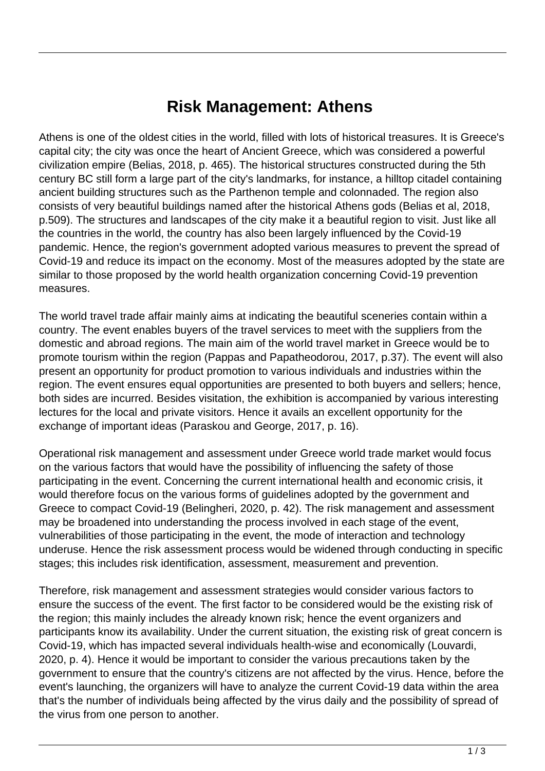## **Risk Management: Athens**

Athens is one of the oldest cities in the world, filled with lots of historical treasures. It is Greece's capital city; the city was once the heart of Ancient Greece, which was considered a powerful civilization empire (Belias, 2018, p. 465). The historical structures constructed during the 5th century BC still form a large part of the city's landmarks, for instance, a hilltop citadel containing ancient building structures such as the Parthenon temple and colonnaded. The region also consists of very beautiful buildings named after the historical Athens gods (Belias et al, 2018, p.509). The structures and landscapes of the city make it a beautiful region to visit. Just like all the countries in the world, the country has also been largely influenced by the Covid-19 pandemic. Hence, the region's government adopted various measures to prevent the spread of Covid-19 and reduce its impact on the economy. Most of the measures adopted by the state are similar to those proposed by the world health organization concerning Covid-19 prevention measures.

The world travel trade affair mainly aims at indicating the beautiful sceneries contain within a country. The event enables buyers of the travel services to meet with the suppliers from the domestic and abroad regions. The main aim of the world travel market in Greece would be to promote tourism within the region (Pappas and Papatheodorou, 2017, p.37). The event will also present an opportunity for product promotion to various individuals and industries within the region. The event ensures equal opportunities are presented to both buyers and sellers; hence, both sides are incurred. Besides visitation, the exhibition is accompanied by various interesting lectures for the local and private visitors. Hence it avails an excellent opportunity for the exchange of important ideas (Paraskou and George, 2017, p. 16).

Operational risk management and assessment under Greece world trade market would focus on the various factors that would have the possibility of influencing the safety of those participating in the event. Concerning the current international health and economic crisis, it would therefore focus on the various forms of guidelines adopted by the government and Greece to compact Covid-19 (Belingheri, 2020, p. 42). The risk management and assessment may be broadened into understanding the process involved in each stage of the event, vulnerabilities of those participating in the event, the mode of interaction and technology underuse. Hence the risk assessment process would be widened through conducting in specific stages; this includes risk identification, assessment, measurement and prevention.

Therefore, risk management and assessment strategies would consider various factors to ensure the success of the event. The first factor to be considered would be the existing risk of the region; this mainly includes the already known risk; hence the event organizers and participants know its availability. Under the current situation, the existing risk of great concern is Covid-19, which has impacted several individuals health-wise and economically (Louvardi, 2020, p. 4). Hence it would be important to consider the various precautions taken by the government to ensure that the country's citizens are not affected by the virus. Hence, before the event's launching, the organizers will have to analyze the current Covid-19 data within the area that's the number of individuals being affected by the virus daily and the possibility of spread of the virus from one person to another.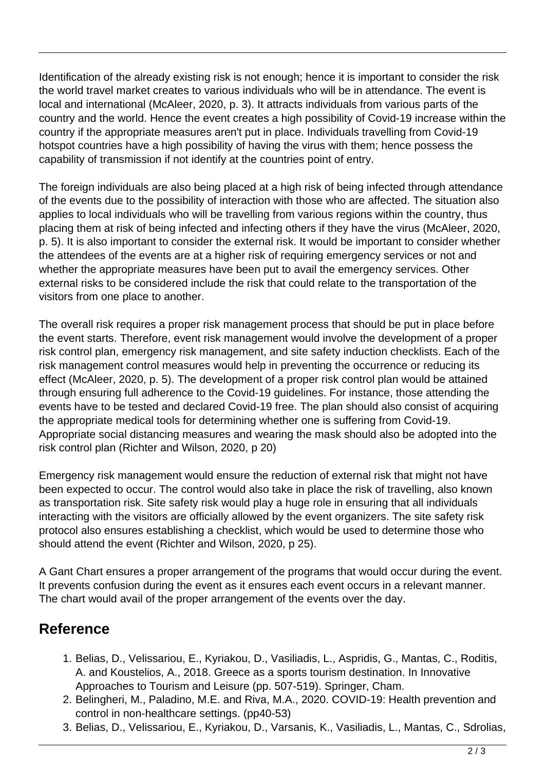Identification of the already existing risk is not enough; hence it is important to consider the risk the world travel market creates to various individuals who will be in attendance. The event is local and international (McAleer, 2020, p. 3). It attracts individuals from various parts of the country and the world. Hence the event creates a high possibility of Covid-19 increase within the country if the appropriate measures aren't put in place. Individuals travelling from Covid-19 hotspot countries have a high possibility of having the virus with them; hence possess the capability of transmission if not identify at the countries point of entry.

The foreign individuals are also being placed at a high risk of being infected through attendance of the events due to the possibility of interaction with those who are affected. The situation also applies to local individuals who will be travelling from various regions within the country, thus placing them at risk of being infected and infecting others if they have the virus (McAleer, 2020, p. 5). It is also important to consider the external risk. It would be important to consider whether the attendees of the events are at a higher risk of requiring emergency services or not and whether the appropriate measures have been put to avail the emergency services. Other external risks to be considered include the risk that could relate to the transportation of the visitors from one place to another.

The overall risk requires a proper risk management process that should be put in place before the event starts. Therefore, event risk management would involve the development of a proper risk control plan, emergency risk management, and site safety induction checklists. Each of the risk management control measures would help in preventing the occurrence or reducing its effect (McAleer, 2020, p. 5). The development of a proper risk control plan would be attained through ensuring full adherence to the Covid-19 guidelines. For instance, those attending the events have to be tested and declared Covid-19 free. The plan should also consist of acquiring the appropriate medical tools for determining whether one is suffering from Covid-19. Appropriate social distancing measures and wearing the mask should also be adopted into the risk control plan (Richter and Wilson, 2020, p 20)

Emergency risk management would ensure the reduction of external risk that might not have been expected to occur. The control would also take in place the risk of travelling, also known as transportation risk. Site safety risk would play a huge role in ensuring that all individuals interacting with the visitors are officially allowed by the event organizers. The site safety risk protocol also ensures establishing a checklist, which would be used to determine those who should attend the event (Richter and Wilson, 2020, p 25).

A Gant Chart ensures a proper arrangement of the programs that would occur during the event. It prevents confusion during the event as it ensures each event occurs in a relevant manner. The chart would avail of the proper arrangement of the events over the day.

## **Reference**

- 1. Belias, D., Velissariou, E., Kyriakou, D., Vasiliadis, L., Aspridis, G., Mantas, C., Roditis, A. and Koustelios, A., 2018. Greece as a sports tourism destination. In Innovative Approaches to Tourism and Leisure (pp. 507-519). Springer, Cham.
- 2. Belingheri, M., Paladino, M.E. and Riva, M.A., 2020. COVID-19: Health prevention and control in non-healthcare settings. (pp40-53)
- 3. Belias, D., Velissariou, E., Kyriakou, D., Varsanis, K., Vasiliadis, L., Mantas, C., Sdrolias,